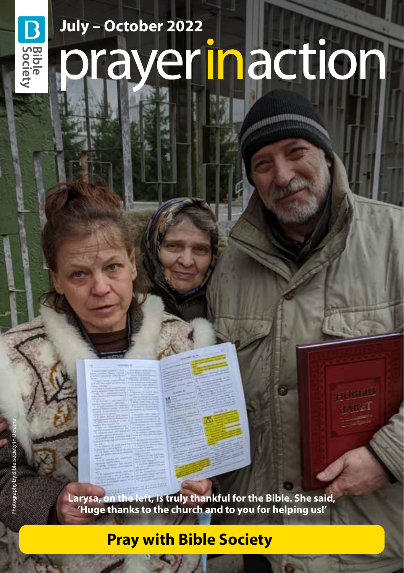# **July – October 2022** prayerinaction

**Larysa, on the left, is truly thankful for the Bible. She said, 'Huge thanks to the church and to you for helping us!'** 

# **Pray with Bible Society**

**D**<br>Bible<br>Occiety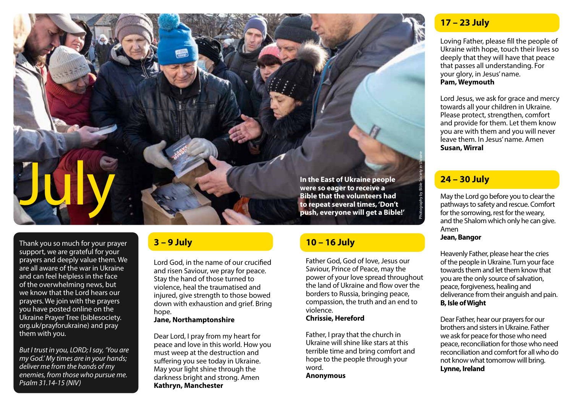

Thank you so much for your prayer support, we are grateful for your prayers and deeply value them. We are all aware of the war in Ukraine and can feel helpless in the face of the overwhelming news, but we know that the Lord hears our prayers. We join with the prayers you have posted online on the Ukraine Prayer Tree (biblesociety. org.uk/prayforukraine) and pray them with you.

*But I trust in you, LORD; I say, 'You are my God.' My times are in your hands; deliver me from the hands of my enemies, from those who pursue me. Psalm 31.14-15 (NIV)*

#### **3 – 9 July**

Lord God, in the name of our crucified and risen Saviour, we pray for peace. Stay the hand of those turned to violence, heal the traumatised and injured, give strength to those bowed down with exhaustion and grief. Bring hope.

#### **Jane, Northamptonshire**

Dear Lord, I pray from my heart for peace and love in this world. How you must weep at the destruction and suffering you see today in Ukraine. May your light shine through the darkness bright and strong. Amen **Kathryn, Manchester**

#### **10 – 16 July**

Father God, God of love, Jesus our Saviour, Prince of Peace, may the power of your love spread throughout the land of Ukraine and flow over the borders to Russia, bringing peace, compassion, the truth and an end to violence.

#### **Chrissie, Hereford**

Father, I pray that the church in Ukraine will shine like stars at this terrible time and bring comfort and hope to the people through your word.

**Anonymous**

#### **17 – 23 July**

Loving Father, please fill the people of Ukraine with hope, touch their lives so deeply that they will have that peace that passes all understanding. For your glory, in Jesus' name. **Pam, Weymouth**

Lord Jesus, we ask for grace and mercy towards all your children in Ukraine. Please protect, strengthen, comfort and provide for them. Let them know you are with them and you will never leave them. In Jesus' name. Amen **Susan, Wirral**

#### **24 – 30 July**

May the Lord go before you to clear the pathways to safety and rescue. Comfort for the sorrowing, rest for the weary, and the Shalom which only he can give. Amen

**Jean, Bangor**

Heavenly Father, please hear the cries of the people in Ukraine. Turn your face towards them and let them know that you are the only source of salvation, peace, forgiveness, healing and deliverance from their anguish and pain. **B, Isle of Wight**

Dear Father, hear our prayers for our brothers and sisters in Ukraine. Father we ask for peace for those who need peace, reconciliation for those who need reconciliation and comfort for all who do not know what tomorrow will bring. **Lynne, Ireland**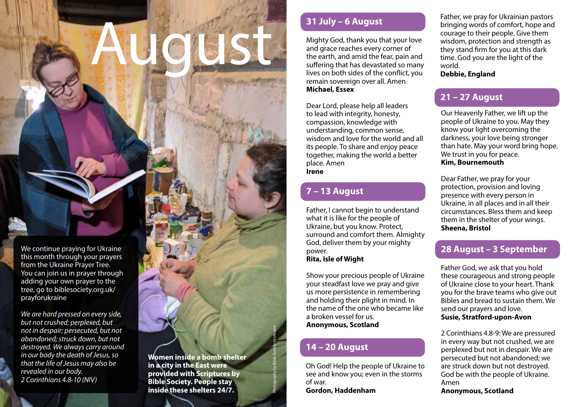# August

We continue praying for Ukraine this month through your prayers from the Ukraine Prayer Tree. You can join us in prayer through adding your own prayer to the tree, go to biblesociety.org.uk/ prayforukraine

*We are hard pressed on every side, but not crushed; perplexed, but not in despair; persecuted, but not abandoned; struck down, but not destroyed. We always carry around in our body the death of Jesus, so that the life of Jesus may also be revealed in our body. 2 Corinthians 4.8-10 (NIV)*

#### **31 July – 6 August**

Mighty God, thank you that your love and grace reaches every corner of the earth, and amid the fear, pain and suffering that has devastated so many lives on both sides of the conflict, you remain sovereign over all. Amen **Michael, Essex**

Dear Lord, please help all leaders to lead with integrity, honesty, compassion, knowledge with understanding, common sense, wisdom and love for the world and all its people. To share and enjoy peace together, making the world a better place. Amen **Irene**

# **7 – 13 August**

Father, I cannot begin to understand what it is like for the people of Ukraine, but you know. Protect, surround and comfort them. Almighty God, deliver them by your mighty power.

**Rita, Isle of Wight**

Show your precious people of Ukraine your steadfast love we pray and give us more persistence in remembering and holding their plight in mind. In the name of the one who became like a broken vessel for us. **Anonymous, Scotland**

# **14 – 20 August**

Photography by Bible Society in Ukraine

Oh God! Help the people of Ukraine to see and know you; even in the storms of war. **Gordon, Haddenham**

Father, we pray for Ukrainian pastors bringing words of comfort, hope and courage to their people. Give them wisdom, protection and strength as they stand firm for you at this dark time. God you are the light of the world. **Debbie, England**

# **21 – 27 August**

Our Heavenly Father, we lift up the people of Ukraine to you. May they know your light overcoming the darkness, your love being stronger than hate. May your word bring hope. We trust in you for peace. **Kim, Bournemouth**

Dear Father, we pray for your protection, provision and loving presence with every person in Ukraine, in all places and in all their circumstances. Bless them and keep them in the shelter of your wings. **Sheena, Bristol**

# **28 August – 3 September**

Father God, we ask that you hold these courageous and strong people of Ukraine close to your heart. Thank you for the brave teams who give out Bibles and bread to sustain them. We send our prayers and love. **Susie, Stratford-upon-Avon**

2 Corinthians 4.8-9: We are pressured in every way but not crushed, we are perplexed but not in despair. We are persecuted but not abandoned; we are struck down but not destroyed. God be with the people of Ukraine. Amen **Anonymous, Scotland**

**Women inside a bomb shelter in a city in the East were provided with Scriptures by Bible Society. People stay inside these shelters 24/7.**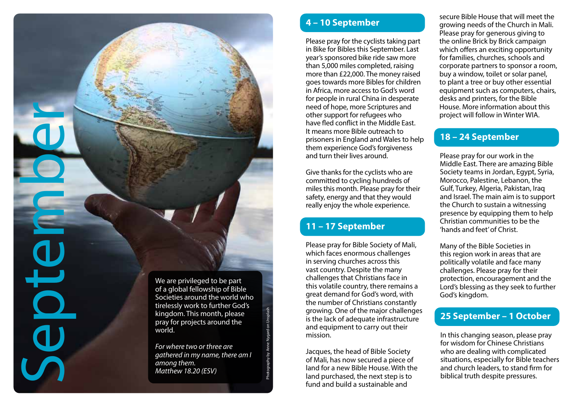We are privileged to be part of a global fellowship of Bible Societies around the world who tirelessly work to further God's kingdom. This month, please pray for projects around the world.

*For where two or three are gathered in my name, there am I among them. Matthew 18.20 (ESV)*

Photography by Anne Nygard on Unsplash

#### **4 – 10 September**

Please pray for the cyclists taking part in Bike for Bibles this September. Last year's sponsored bike ride saw more than 5,000 miles completed, raising more than £22,000. The money raised goes towards more Bibles for children in Africa, more access to God's word for people in rural China in desperate need of hope, more Scriptures and other support for refugees who have fled conflict in the Middle East. It means more Bible outreach to prisoners in England and Wales to help them experience God's forgiveness and turn their lives around.

Give thanks for the cyclists who are committed to cycling hundreds of miles this month. Please pray for their safety, energy and that they would really enjoy the whole experience.

#### **11 – 17 September**

Please pray for Bible Society of Mali, which faces enormous challenges in serving churches across this vast country. Despite the many challenges that Christians face in this volatile country, there remains a great demand for God's word, with the number of Christians constantly growing. One of the major challenges is the lack of adequate infrastructure and equipment to carry out their mission.

Jacques, the head of Bible Society of Mali, has now secured a piece of land for a new Bible House. With the land purchased, the next step is to fund and build a sustainable and

secure Bible House that will meet the growing needs of the Church in Mali. Please pray for generous giving to the online Brick by Brick campaign which offers an exciting opportunity for families, churches, schools and corporate partners to sponsor a room, buy a window, toilet or solar panel, to plant a tree or buy other essential equipment such as computers, chairs, desks and printers, for the Bible House. More information about this project will follow in Winter WIA.

#### **18 – 24 September**

Please pray for our work in the Middle East. There are amazing Bible Society teams in Jordan, Egypt, Syria, Morocco, Palestine, Lebanon, the Gulf, Turkey, Algeria, Pakistan, Iraq and Israel. The main aim is to support the Church to sustain a witnessing presence by equipping them to help Christian communities to be the 'hands and feet' of Christ.

Many of the Bible Societies in this region work in areas that are politically volatile and face many challenges. Please pray for their protection, encouragement and the Lord's blessing as they seek to further God's kingdom.

#### **25 September – 1 October**

In this changing season, please pray for wisdom for Chinese Christians who are dealing with complicated situations, especially for Bible teachers and church leaders, to stand firm for biblical truth despite pressures.